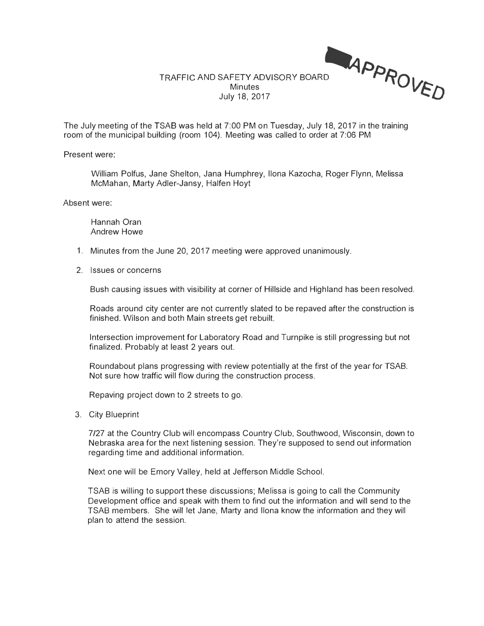

The July meeting of the TSAB was held at 7:00 PM on Tuesday, July 18, 2017 in the training room of the municipal building (room 104). Meeting was called to order at 7:06 PM

Present were:

William Polfus, Jane Shelton, Jana Humphrey, Ilona Kazocha, Roger Flynn, Melissa McMahan, Marty Adler-Jansy, Halfen Hoyt

Absent were:

Hannah Oran Andrew Howe

- 1. Minutes from the June 20, 2017 meeting were approved unanimously.
- 2. Issues or concerns

Bush causing issues with visibility at corner of Hillside and Highland has been resolved.

Roads around city center are not currently slated to be repaved after the construction is finished. Wilson and both Main streets get rebuilt.

Intersection improvement for Laboratory Road and Turnpike is still progressing but not finalized. Probably at least 2 years out.

Roundabout plans progressing with review potentially at the first of the year for TSAB. Not sure how traffic will flow during the construction process.

Repaving project down to 2 streets to go.

3. City Blueprint

7/27 at the Country Club will encompass Country Club, Southwood, Wisconsin, down to Nebraska area for the next listening session. They're supposed to send out information regarding time and additional information.

Next one will be Emory Valley, held at Jefferson Middle School.

TSAB is willing to support these discussions; Melissa is going to call the Community Development office and speak with them to find out the information and will send to the TSAB members. She will let Jane, Marty and Ilona know the information and they will plan to attend the session.